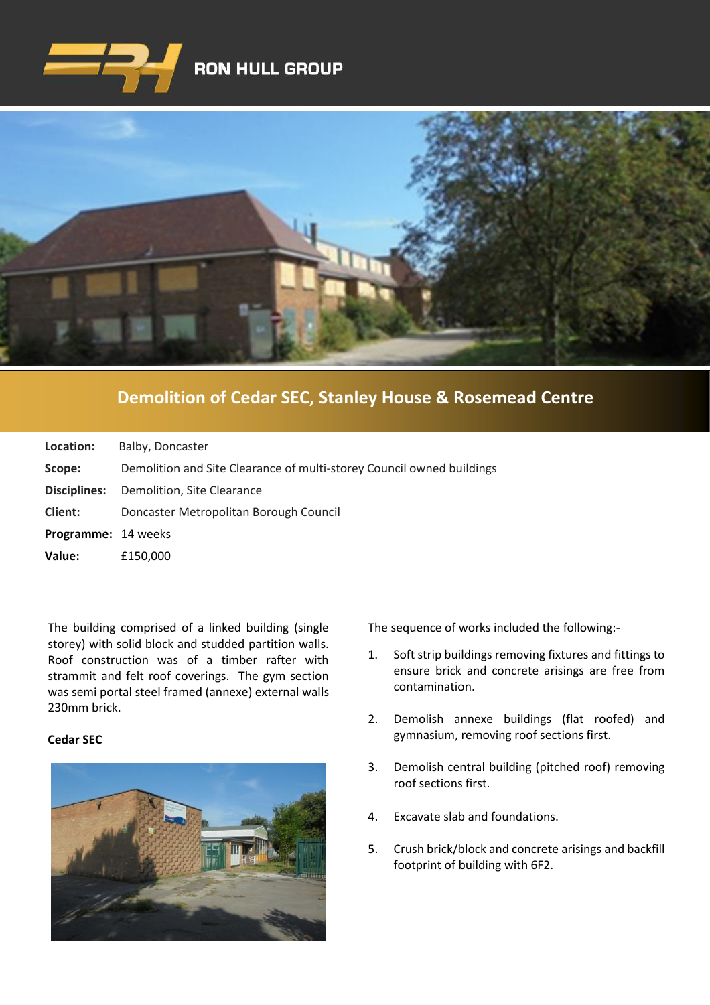



## **[Demolition of Cedar SEC, Stanley House & Rosemead Centre](https://www.google.co.uk/imgres?imgurl=http%3A%2F%2Fwww.clenergy.co.uk%2FImageGen.ashx%3Fimage%3D%2Fmedia%2F1044%2Fcredit-solutia-2009-looking-south-4mb.jpg%26width%3D568%26height%3D320&imgrefurl=http%3A%2F%2Fwww.clenergy.co.uk%2Fprojects%2Fsolutia%2F&docid=l4QIaOP_OnRHZM&tbnid=A2rf481aMiEi8M%3A&vet=10ahUKEwie4JWq6srkAhX6SxUIHaTaDYwQMwg_KAEwAQ..i&w=568&h=320&bih=575&biw=1280&q=eastman%20chemical%20plant%20newport%20wales&ved=0ahUKEwie4JWq6srkAhX6SxUIHaTaDYwQMwg_KAEwAQ&iact=mrc&uact=8)**

| Location:                  | Balby, Doncaster                                                      |
|----------------------------|-----------------------------------------------------------------------|
| Scope:                     | Demolition and Site Clearance of multi-storey Council owned buildings |
| Disciplines:               | Demolition, Site Clearance                                            |
| Client:                    | Doncaster Metropolitan Borough Council                                |
| <b>Programme: 14 weeks</b> |                                                                       |
| Value:                     | £150,000                                                              |

The building comprised of a linked building (single storey) with solid block and studded partition walls. Roof construction was of a timber rafter with strammit and felt roof coverings. The gym section was semi portal steel framed (annexe) external walls 230mm brick.

## **Cedar SEC**



The sequence of works included the following:-

- 1. Soft strip buildings removing fixtures and fittings to ensure brick and concrete arisings are free from contamination.
- 2. Demolish annexe buildings (flat roofed) and gymnasium, removing roof sections first.
- 3. Demolish central building (pitched roof) removing roof sections first.
- 4. Excavate slab and foundations.
- 5. Crush brick/block and concrete arisings and backfill footprint of building with 6F2.